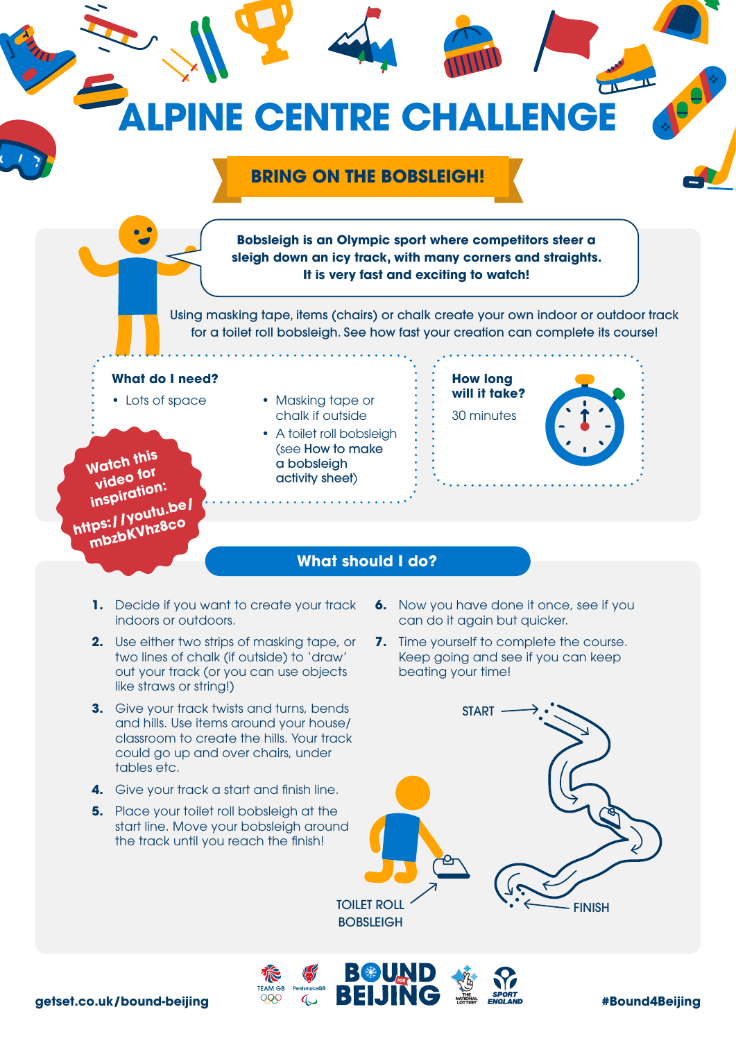

BBD D

- and hills. Use items around your house/ classroom to create the hills. Your track could go up and over chairs, under tables etc.
- **4.** Give your track a start and finish line.
- **5.** Place your toilet roll bobsleigh at the start line. Move your bobsleigh around the track until you reach the finish!

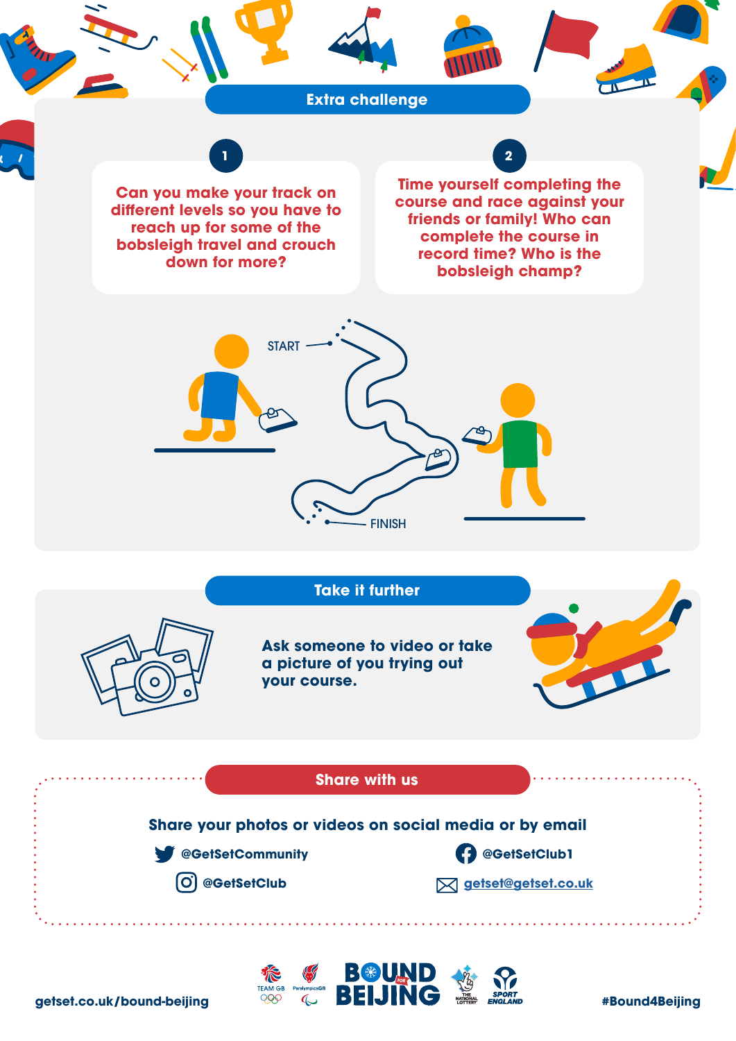